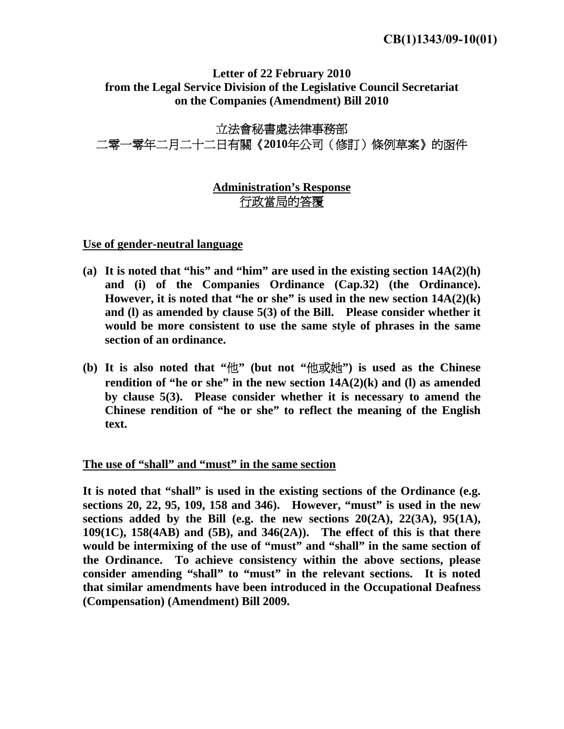## **Letter of 22 February 2010 from the Legal Service Division of the Legislative Council Secretariat on the Companies (Amendment) Bill 2010**

# 立法會秘書處法律事務部 二零一零年二月二十二日有關《**2010**年公司(修訂)條例草案》的函件

# **Administration's Response** 行政當局的答覆

**Use of gender-neutral language**

- **(a) It is noted that "his" and "him" are used in the existing section 14A(2)(h) and (i) of the Companies Ordinance (Cap.32) (the Ordinance). However, it is noted that "he or she" is used in the new section 14A(2)(k) and (l) as amended by clause 5(3) of the Bill. Please consider whether it would be more consistent to use the same style of phrases in the same section of an ordinance.**
- **(b) It is also noted that "**他**" (but not "**他或她**") is used as the Chinese rendition of "he or she" in the new section 14A(2)(k) and (l) as amended by clause 5(3). Please consider whether it is necessary to amend the Chinese rendition of "he or she" to reflect the meaning of the English text.**

## **The use of "shall" and "must" in the same section**

**It is noted that "shall" is used in the existing sections of the Ordinance (e.g. sections 20, 22, 95, 109, 158 and 346). However, "must" is used in the new**  sections added by the Bill (e.g. the new sections  $20(2A)$ ,  $22(3A)$ ,  $95(1A)$ , **109(1C), 158(4AB) and (5B), and 346(2A)). The effect of this is that there would be intermixing of the use of "must" and "shall" in the same section of the Ordinance. To achieve consistency within the above sections, please consider amending "shall" to "must" in the relevant sections. It is noted that similar amendments have been introduced in the Occupational Deafness (Compensation) (Amendment) Bill 2009.**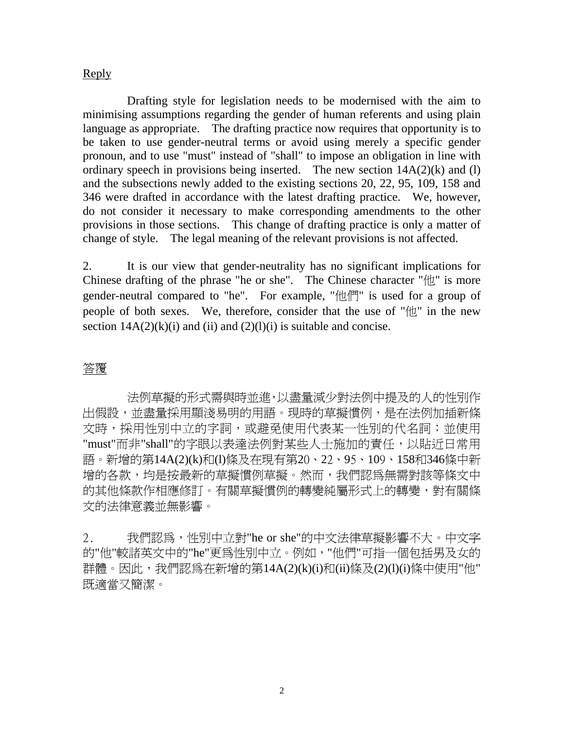### Reply

 Drafting style for legislation needs to be modernised with the aim to minimising assumptions regarding the gender of human referents and using plain language as appropriate. The drafting practice now requires that opportunity is to be taken to use gender-neutral terms or avoid using merely a specific gender pronoun, and to use "must" instead of "shall" to impose an obligation in line with ordinary speech in provisions being inserted. The new section  $14A(2)(k)$  and (l) and the subsections newly added to the existing sections 20, 22, 95, 109, 158 and 346 were drafted in accordance with the latest drafting practice. We, however, do not consider it necessary to make corresponding amendments to the other provisions in those sections. This change of drafting practice is only a matter of change of style. The legal meaning of the relevant provisions is not affected.

2. It is our view that gender-neutrality has no significant implications for Chinese drafting of the phrase "he or she". The Chinese character " $\uparrow\uparrow\downarrow$ " is more gender-neutral compared to "he". For example, "他們" is used for a group of people of both sexes. We, therefore, consider that the use of "他" in the new section  $14A(2)(k)(i)$  and (ii) and  $(2)(l)(i)$  is suitable and concise.

## 答覆

 法例草擬的形式需與時並進,以盡量減少對法例中提及的人的性別作 出假設,並盡量採用顯淺易明的用語。現時的草擬慣例,是在法例加插新條 文時,採用性別中立的字詞,或避免使用代表某一性別的代名詞;並使用 "must"而非"shall"的字眼以表達法例對某些人士施加的責任,以貼近日常用 語。新增的第14A(2)(k)和(l)條及在現有第20、22、95、109、158和346條中新 增的各款,均是按最新的草擬慣例草擬。然而,我們認為無需對該等條文中 的其他條款作相應修訂。有關草擬慣例的轉變純屬形式上的轉變,對有關條 文的法律意義並無影響。

2. 我們認為,性別中立對"he or she"的中文法律草擬影響不大。中文字 的"他"較諸英文中的"he"更為性別中立。例如,"他們"可指一個包括男及女的 群體。因此,我們認為在新增的第14A(2)(k)(i)和(ii)條及(2)(l)(i)條中使用"他" 既適當又簡潔。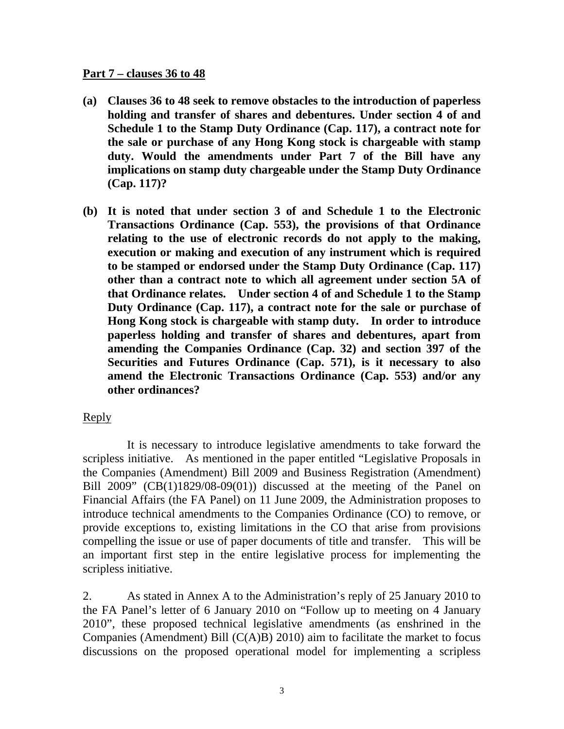#### **Part 7 – clauses 36 to 48**

- **(a) Clauses 36 to 48 seek to remove obstacles to the introduction of paperless holding and transfer of shares and debentures. Under section 4 of and Schedule 1 to the Stamp Duty Ordinance (Cap. 117), a contract note for the sale or purchase of any Hong Kong stock is chargeable with stamp duty. Would the amendments under Part 7 of the Bill have any implications on stamp duty chargeable under the Stamp Duty Ordinance (Cap. 117)?**
- **(b) It is noted that under section 3 of and Schedule 1 to the Electronic Transactions Ordinance (Cap. 553), the provisions of that Ordinance relating to the use of electronic records do not apply to the making, execution or making and execution of any instrument which is required to be stamped or endorsed under the Stamp Duty Ordinance (Cap. 117) other than a contract note to which all agreement under section 5A of that Ordinance relates. Under section 4 of and Schedule 1 to the Stamp Duty Ordinance (Cap. 117), a contract note for the sale or purchase of Hong Kong stock is chargeable with stamp duty. In order to introduce paperless holding and transfer of shares and debentures, apart from amending the Companies Ordinance (Cap. 32) and section 397 of the Securities and Futures Ordinance (Cap. 571), is it necessary to also amend the Electronic Transactions Ordinance (Cap. 553) and/or any other ordinances?**

### Reply

 It is necessary to introduce legislative amendments to take forward the scripless initiative. As mentioned in the paper entitled "Legislative Proposals in the Companies (Amendment) Bill 2009 and Business Registration (Amendment) Bill  $2009$ " (CB(1)1829/08-09(01)) discussed at the meeting of the Panel on Financial Affairs (the FA Panel) on 11 June 2009, the Administration proposes to introduce technical amendments to the Companies Ordinance (CO) to remove, or provide exceptions to, existing limitations in the CO that arise from provisions compelling the issue or use of paper documents of title and transfer. This will be an important first step in the entire legislative process for implementing the scripless initiative.

2. As stated in Annex A to the Administration's reply of 25 January 2010 to the FA Panel's letter of 6 January 2010 on "Follow up to meeting on 4 January 2010", these proposed technical legislative amendments (as enshrined in the Companies (Amendment) Bill (C(A)B) 2010) aim to facilitate the market to focus discussions on the proposed operational model for implementing a scripless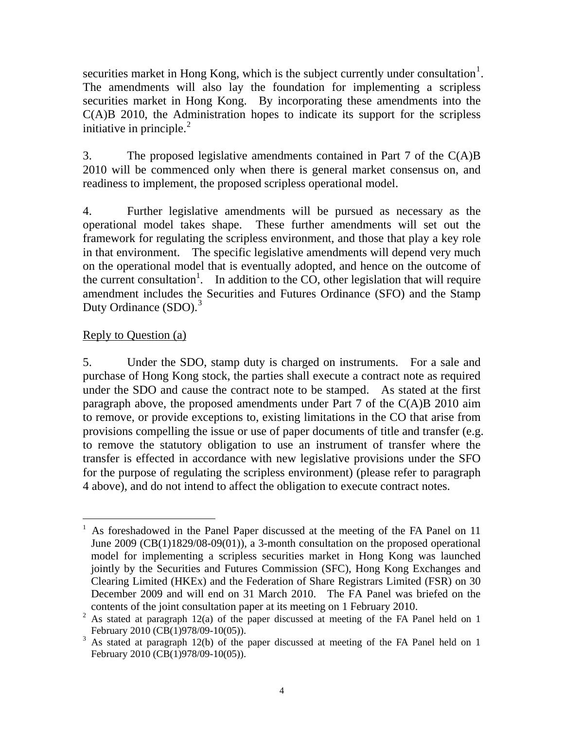securities market in Hong Kong, which is the subject currently under consultation<sup>[1](#page-3-0)</sup>. The amendments will also lay the foundation for implementing a scripless securities market in Hong Kong. By incorporating these amendments into the C(A)B 2010, the Administration hopes to indicate its support for the scripless initiative in principle. $2$ 

3. The proposed legislative amendments contained in Part 7 of the C(A)B 2010 will be commenced only when there is general market consensus on, and readiness to implement, the proposed scripless operational model.

4. Further legislative amendments will be pursued as necessary as the operational model takes shape. These further amendments will set out the framework for regulating the scripless environment, and those that play a key role in that environment. The specific legislative amendments will depend very much on the operational model that is eventually adopted, and hence on the outcome of the current consultation<sup>1</sup>. In addition to the CO, other legislation that will require amendment includes the Securities and Futures Ordinance (SFO) and the Stamp Duty Ordinance  $(SDO)<sup>3</sup>$  $(SDO)<sup>3</sup>$  $(SDO)<sup>3</sup>$ 

## Reply to Question (a)

5. Under the SDO, stamp duty is charged on instruments. For a sale and purchase of Hong Kong stock, the parties shall execute a contract note as required under the SDO and cause the contract note to be stamped. As stated at the first paragraph above, the proposed amendments under Part 7 of the  $C(A)B$  2010 aim to remove, or provide exceptions to, existing limitations in the CO that arise from provisions compelling the issue or use of paper documents of title and transfer (e.g. to remove the statutory obligation to use an instrument of transfer where the transfer is effected in accordance with new legislative provisions under the SFO for the purpose of regulating the scripless environment) (please refer to paragraph 4 above), and do not intend to affect the obligation to execute contract notes.

<span id="page-3-0"></span> $\overline{a}$ 1 As foreshadowed in the Panel Paper discussed at the meeting of the FA Panel on 11 June 2009 (CB(1)1829/08-09(01)), a 3-month consultation on the proposed operational model for implementing a scripless securities market in Hong Kong was launched jointly by the Securities and Futures Commission (SFC), Hong Kong Exchanges and Clearing Limited (HKEx) and the Federation of Share Registrars Limited (FSR) on 30 December 2009 and will end on 31 March 2010. The FA Panel was briefed on the contents of the joint consultation paper at its meeting on 1 February 2010.

<span id="page-3-1"></span><sup>&</sup>lt;sup>2</sup> As stated at paragraph 12(a) of the paper discussed at meeting of the FA Panel held on 1 February 2010 (CB(1)978/09-10(05)).

<span id="page-3-2"></span> $3$  As stated at paragraph 12(b) of the paper discussed at meeting of the FA Panel held on 1 February 2010 (CB(1)978/09-10(05)).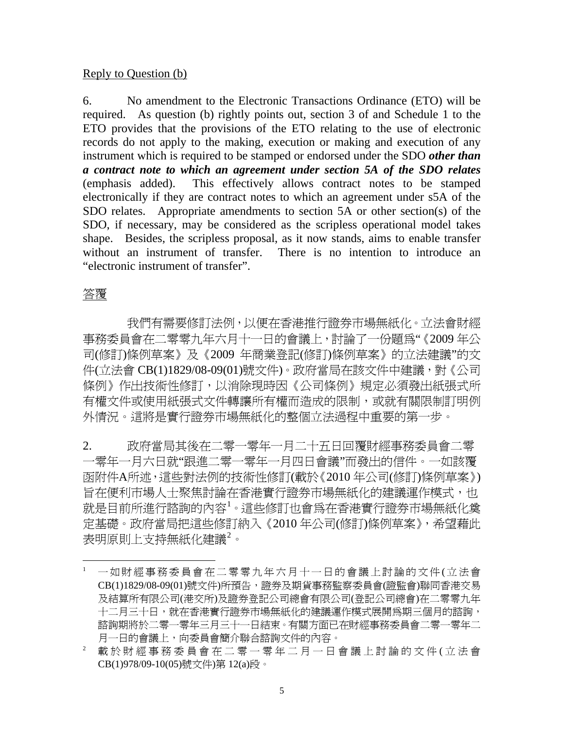### Reply to Question (b)

6. No amendment to the Electronic Transactions Ordinance (ETO) will be required. As question (b) rightly points out, section 3 of and Schedule 1 to the ETO provides that the provisions of the ETO relating to the use of electronic records do not apply to the making, execution or making and execution of any instrument which is required to be stamped or endorsed under the SDO *other than a contract note to which an agreement under section 5A of the SDO relates* (emphasis added). This effectively allows contract notes to be stamped electronically if they are contract notes to which an agreement under s5A of the SDO relates. Appropriate amendments to section 5A or other section(s) of the SDO, if necessary, may be considered as the scripless operational model takes shape. Besides, the scripless proposal, as it now stands, aims to enable transfer without an instrument of transfer. There is no intention to introduce an "electronic instrument of transfer".

### 答覆

 $\overline{a}$ 

 我們有需要修訂法例,以便在香港推行證券市場無紙化。立法會財經 事務委員會在二零零九年六月十一日的會議上,討論了一份題為"《2009 年公 司(修訂)條例草案》及《2009 年商業登記(修訂)條例草案》的立法建議"的文 件(立法會 CB(1)1829/08-09(01)號文件)。政府當局在該文件中建議,對《公司 條例》作出技術性修訂,以消除現時因《公司條例》規定必須發出紙張式所 有權文件或使用紙張式文件轉讓所有權而造成的限制,或就有關限制訂明例 外情況。這將是實行證券市場無紙化的整個立法過程中重要的第一步。

2. 政府當局其後在二零一零年一月二十五日回覆財經事務委員會二零 一零年一月六日就"跟進二零一零年一月四日會議"而發出的信件。一如該覆 函附件A所述,這些對法例的技術性修訂(載於《2010 年公司(修訂)條例草案》) 旨在便利市場人士聚焦討論在香港實行證券市場無紙化的建議運作模式,也 就是目前所進行諮詢的內容<sup>[1](#page-4-0)</sup>。這些修訂也會爲在香港實行證券市場無紙化奠 定基礎。政府當局把這些修訂納入《2010 年公司(修訂)條例草案》,希望藉此 表明原則上支持無紙化建議 $^2$  $^2$ 。

<span id="page-4-0"></span><sup>1</sup> 一如財經事務委員會在二零零九年六月十一日的會議上討論的文件 ( 立法會 CB(1)1829/08-09(01)號文件)所預告,證券及期貨事務監察委員會(證監會)聯同香港交易 及結算所有限公司(港交所)及證券登記公司總會有限公司(登記公司總會)在二零零九年 十二月三十日,就在香港實行證券市場無紙化的建議運作模式展開為期三個月的諮詢, 諮詢期將於二零一零年三月三十一日結束。有關方面已在財經事務委員會二零一零年二 月一日的會議上,向委員會簡介聯合諮詢文件的內容。

<span id="page-4-1"></span>載於財經事務委員會在二零一零年二月一日會議上討論的文件(立法會 CB(1)978/09-10(05)號文件)第 12(a)段。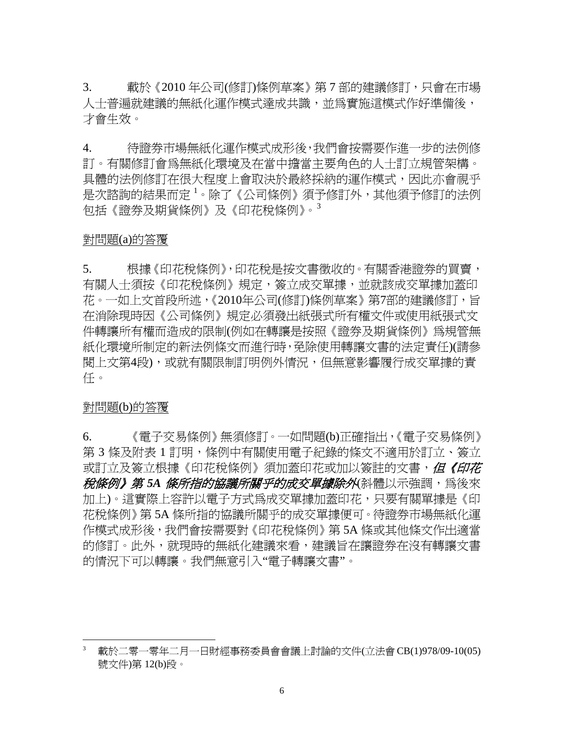3. 載於《2010 年公司(修訂)條例草案》第 7 部的建議修訂,只會在市場 人士普遍就建議的無紙化運作模式達成共識,並為實施這模式作好準備後, 才會生效。

4. 待證券市場無紙化運作模式成形後,我們會按需要作進一步的法例修 訂。有關修訂會為無紙化環境及在當中擔當主要角色的人士訂立規管架構。 具體的法例修訂在很大程度上會取決於最終採納的運作模式,因此亦會視平 是次諮詢的結果而定 <sup>1</sup>。除了《公司條例》 須予修訂外,其他須予修訂的法例 包括《證券及期貨條例》及《印花稅條例》。[3](#page-5-0)

#### 對問題(a)的答覆

5. 根據《印花稅條例》,印花稅是按文書徵收的。有關香港證券的買賣, 有關人士須按《印花稅條例》規定,簽立成交單據,並就該成交單據加蓋印 花。一如上文首段所述,《2010年公司(修訂)條例草案》 第7部的建議修訂,旨 在消除現時因《公司條例》規定必須發出紙張式所有權文件或使用紙張式文 件轉讓所有權而造成的限制(例如在轉讓是按照《證券及期貨條例》為規管無 紙化環境所制定的新法例條文而進行時,免除使用轉讓文書的法定責任)(請參 閱上文第4段),或就有關限制訂明例外情況,但無意影響履行成交單據的責 任。

#### 對問題(b)的答覆

 $\overline{a}$ 

6. 《電子交易條例》無須修訂。一如問題(b)正確指出,《電子交易條例》 第 3 條及附表 1 訂明,條例中有關使用電子紀錄的條文不適用於訂立、簽立 或訂立及簽立根據《印花稅條例》須加蓋印花或加以簽註的文書,*但《印花* **稅條例》 第 5A 條所指的協議所關乎的成交單據除外**(斜體以示強調,為後來 加上)。這實際上容許以電子方式為成交單據加蓋印花,只要有關單據是《印 花稅條例》第 5A 條所指的協議所關乎的成交單據便可。待證券市場無紙化運 作模式成形後,我們會按需要對《印花稅條例》第 5A 條或其他條文作出適當 的修訂。此外,就現時的無紙化建議來看,建議旨在讓證券在沒有轉讓文書 的情況下可以轉讓。我們無意引入"電子轉讓文書"。

<span id="page-5-0"></span>載於二零一零年二月一日財經事務委員會會議上討論的文件(立法會 CB(1)978/09-10(05) 號文件)第 12(b)段。